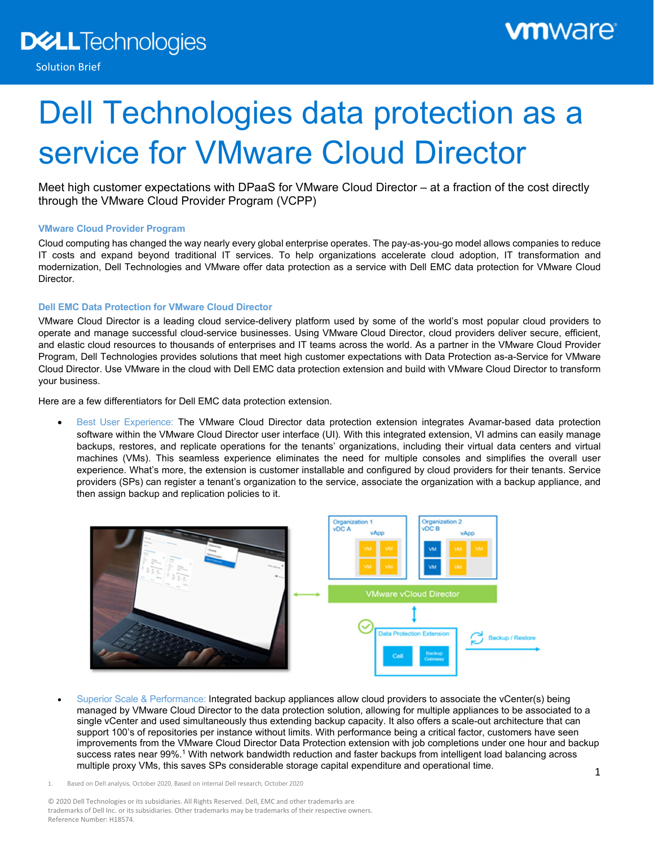# Dell Technologies data protection as a service for VMware Cloud Director

Meet high customer expectations with DPaaS for VMware Cloud Director – at a fraction of the cost directly through the VMware Cloud Provider Program (VCPP)

# **VMware Cloud Provider Program**

Cloud computing has changed the way nearly every global enterprise operates. The pay-as-you-go model allows companies to reduce IT costs and expand beyond traditional IT services. To help organizations accelerate cloud adoption, IT transformation and modernization, Dell Technologies and VMware offer data protection as a service with Dell EMC data protection for VMware Cloud Director.

# **Dell EMC Data Protection for VMware Cloud Director**

VMware Cloud Director is a leading cloud service-delivery platform used by some of the world's most popular cloud providers to operate and manage successful cloud-service businesses. Using VMware Cloud Director, cloud providers deliver secure, efficient, and elastic cloud resources to thousands of enterprises and IT teams across the world. As a partner in the VMware Cloud Provider Program, Dell Technologies provides solutions that meet high customer expectations with Data Protection as-a-Service for VMware Cloud Director. Use VMware in the cloud with Dell EMC data protection extension and build with VMware Cloud Director to transform your business.

Here are a few differentiators for Dell EMC data protection extension.

 Best User Experience: The VMware Cloud Director data protection extension integrates Avamar-based data protection software within the VMware Cloud Director user interface (UI). With this integrated extension, VI admins can easily manage backups, restores, and replicate operations for the tenants' organizations, including their virtual data centers and virtual machines (VMs). This seamless experience eliminates the need for multiple consoles and simplifies the overall user experience. What's more, the extension is customer installable and configured by cloud providers for their tenants. Service providers (SPs) can register a tenant's organization to the service, associate the organization with a backup appliance, and then assign backup and replication policies to it.



 Superior Scale & Performance: Integrated backup appliances allow cloud providers to associate the vCenter(s) being managed by VMware Cloud Director to the data protection solution, allowing for multiple appliances to be associated to a single vCenter and used simultaneously thus extending backup capacity. It also offers a scale-out architecture that can support 100's of repositories per instance without limits. With performance being a critical factor, customers have seen improvements from the VMware Cloud Director Data Protection extension with job completions under one hour and backup success rates near 99%.1 With network bandwidth reduction and faster backups from intelligent load balancing across multiple proxy VMs, this saves SPs considerable storage capital expenditure and operational time.

© 2020 Dell Technologies or its subsidiaries. All Rights Reserved. Dell, EMC and other trademarks are trademarks of Dell Inc. or its subsidiaries. Other trademarks may be trademarks of their respective owners. Reference Number: H18574.

<sup>1.</sup> Based on Dell analysis, October 2020, Based on internal Dell research, October 2020